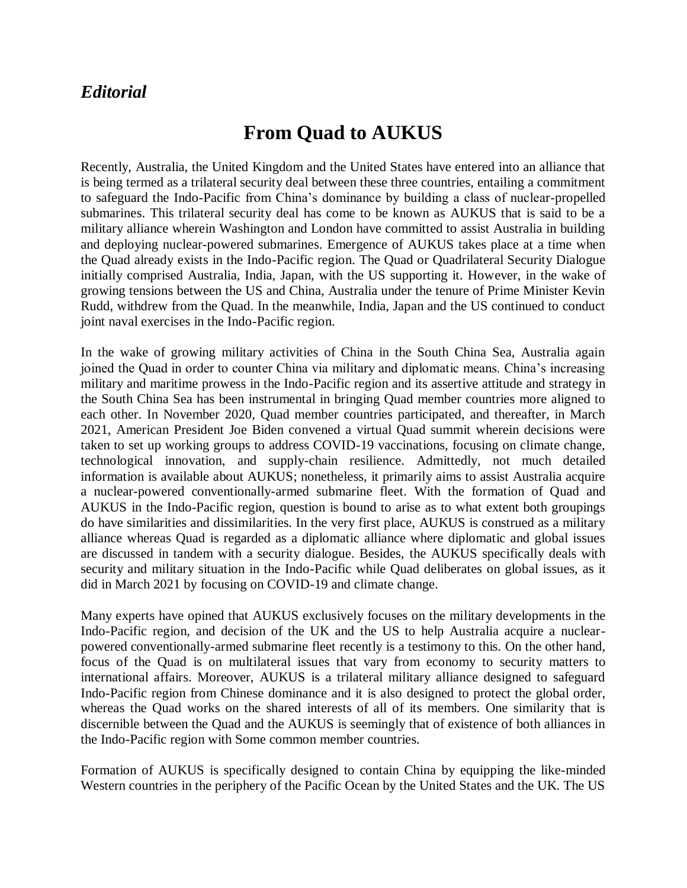## *Editorial*

## **From Quad to AUKUS**

Recently, Australia, the United Kingdom and the United States have entered into an alliance that is being termed as a trilateral security deal between these three countries, entailing a commitment to safeguard the Indo-Pacific from China's dominance by building a class of nuclear-propelled submarines. This trilateral security deal has come to be known as AUKUS that is said to be a military alliance wherein Washington and London have committed to assist Australia in building and deploying nuclear-powered submarines. Emergence of AUKUS takes place at a time when the Quad already exists in the Indo-Pacific region. The Quad or Quadrilateral Security Dialogue initially comprised Australia, India, Japan, with the US supporting it. However, in the wake of growing tensions between the US and China, Australia under the tenure of Prime Minister Kevin Rudd, withdrew from the Quad. In the meanwhile, India, Japan and the US continued to conduct joint naval exercises in the Indo-Pacific region.

In the wake of growing military activities of China in the South China Sea, Australia again joined the Quad in order to counter China via military and diplomatic means. China's increasing military and maritime prowess in the Indo-Pacific region and its assertive attitude and strategy in the South China Sea has been instrumental in bringing Quad member countries more aligned to each other. In November 2020, Quad member countries participated, and thereafter, in March 2021, American President Joe Biden convened a virtual Quad summit wherein decisions were taken to set up working groups to address COVID-19 vaccinations, focusing on climate change, technological innovation, and supply-chain resilience. Admittedly, not much detailed information is available about AUKUS; nonetheless, it primarily aims to assist Australia acquire a nuclear-powered conventionally-armed submarine fleet. With the formation of Quad and AUKUS in the Indo-Pacific region, question is bound to arise as to what extent both groupings do have similarities and dissimilarities. In the very first place, AUKUS is construed as a military alliance whereas Quad is regarded as a diplomatic alliance where diplomatic and global issues are discussed in tandem with a security dialogue. Besides, the AUKUS specifically deals with security and military situation in the Indo-Pacific while Quad deliberates on global issues, as it did in March 2021 by focusing on COVID-19 and climate change.

Many experts have opined that AUKUS exclusively focuses on the military developments in the Indo-Pacific region, and decision of the UK and the US to help Australia acquire a nuclearpowered conventionally-armed submarine fleet recently is a testimony to this. On the other hand, focus of the Quad is on multilateral issues that vary from economy to security matters to international affairs. Moreover, AUKUS is a trilateral military alliance designed to safeguard Indo-Pacific region from Chinese dominance and it is also designed to protect the global order, whereas the Quad works on the shared interests of all of its members. One similarity that is discernible between the Quad and the AUKUS is seemingly that of existence of both alliances in the Indo-Pacific region with Some common member countries.

Formation of AUKUS is specifically designed to contain China by equipping the like-minded Western countries in the periphery of the Pacific Ocean by the United States and the UK. The US